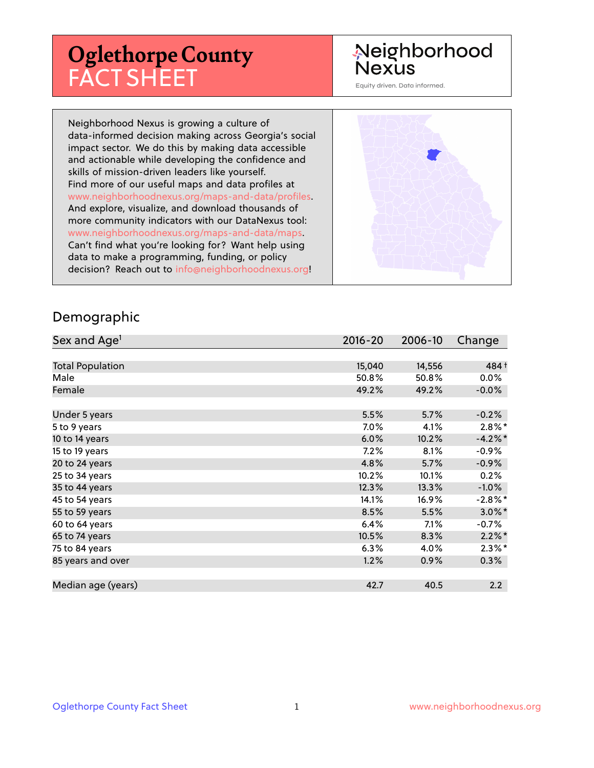# **Oglethorpe County** FACT SHEET

# Neighborhood **Nexus**

Equity driven. Data informed.

Neighborhood Nexus is growing a culture of data-informed decision making across Georgia's social impact sector. We do this by making data accessible and actionable while developing the confidence and skills of mission-driven leaders like yourself. Find more of our useful maps and data profiles at www.neighborhoodnexus.org/maps-and-data/profiles. And explore, visualize, and download thousands of more community indicators with our DataNexus tool: www.neighborhoodnexus.org/maps-and-data/maps. Can't find what you're looking for? Want help using data to make a programming, funding, or policy decision? Reach out to [info@neighborhoodnexus.org!](mailto:info@neighborhoodnexus.org)



#### Demographic

| Sex and Age <sup>1</sup> | $2016 - 20$ | 2006-10 | Change     |
|--------------------------|-------------|---------|------------|
|                          |             |         |            |
| <b>Total Population</b>  | 15,040      | 14,556  | 484 +      |
| Male                     | 50.8%       | 50.8%   | $0.0\%$    |
| Female                   | 49.2%       | 49.2%   | $-0.0\%$   |
|                          |             |         |            |
| Under 5 years            | 5.5%        | 5.7%    | $-0.2%$    |
| 5 to 9 years             | 7.0%        | 4.1%    | $2.8\%$ *  |
| 10 to 14 years           | 6.0%        | 10.2%   | $-4.2%$ *  |
| 15 to 19 years           | 7.2%        | 8.1%    | $-0.9%$    |
| 20 to 24 years           | 4.8%        | 5.7%    | $-0.9%$    |
| 25 to 34 years           | 10.2%       | 10.1%   | 0.2%       |
| 35 to 44 years           | 12.3%       | 13.3%   | $-1.0\%$   |
| 45 to 54 years           | 14.1%       | 16.9%   | $-2.8\%$ * |
| 55 to 59 years           | 8.5%        | 5.5%    | $3.0\%$ *  |
| 60 to 64 years           | 6.4%        | 7.1%    | $-0.7%$    |
| 65 to 74 years           | 10.5%       | 8.3%    | $2.2\%$ *  |
| 75 to 84 years           | 6.3%        | 4.0%    | $2.3\%$ *  |
| 85 years and over        | 1.2%        | 0.9%    | 0.3%       |
|                          |             |         |            |
| Median age (years)       | 42.7        | 40.5    | 2.2        |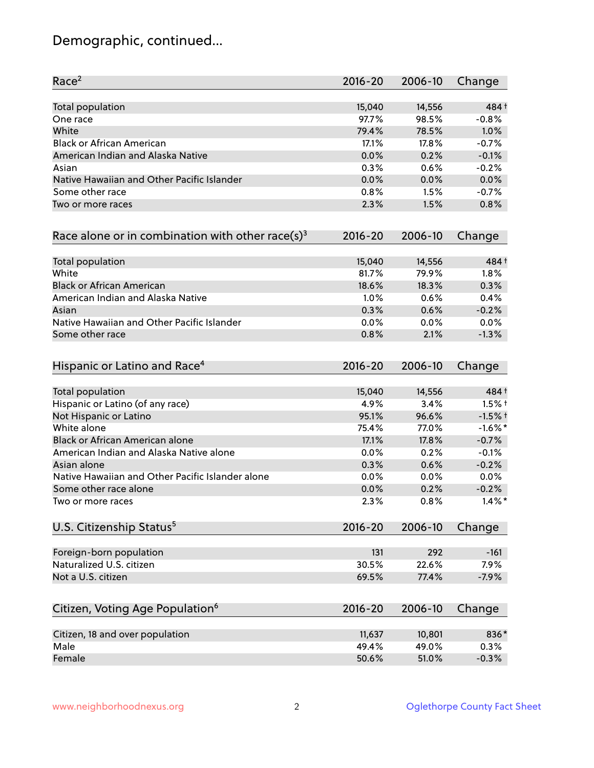# Demographic, continued...

| Race <sup>2</sup>                                            | $2016 - 20$ | 2006-10 | Change     |
|--------------------------------------------------------------|-------------|---------|------------|
| <b>Total population</b>                                      | 15,040      | 14,556  | 484+       |
| One race                                                     | 97.7%       | 98.5%   | $-0.8%$    |
| White                                                        | 79.4%       | 78.5%   | 1.0%       |
| <b>Black or African American</b>                             | 17.1%       | 17.8%   | $-0.7%$    |
| American Indian and Alaska Native                            | 0.0%        | 0.2%    | $-0.1%$    |
| Asian                                                        | 0.3%        | 0.6%    | $-0.2%$    |
| Native Hawaiian and Other Pacific Islander                   | 0.0%        | 0.0%    | 0.0%       |
| Some other race                                              | 0.8%        | 1.5%    | $-0.7%$    |
| Two or more races                                            | 2.3%        | 1.5%    | 0.8%       |
| Race alone or in combination with other race(s) <sup>3</sup> | $2016 - 20$ | 2006-10 | Change     |
| Total population                                             | 15,040      | 14,556  | 484+       |
| White                                                        | 81.7%       | 79.9%   | 1.8%       |
| <b>Black or African American</b>                             | 18.6%       | 18.3%   | 0.3%       |
| American Indian and Alaska Native                            | 1.0%        | 0.6%    | 0.4%       |
| Asian                                                        | 0.3%        | 0.6%    | $-0.2%$    |
| Native Hawaiian and Other Pacific Islander                   | 0.0%        | 0.0%    | 0.0%       |
| Some other race                                              | 0.8%        | 2.1%    | $-1.3%$    |
| Hispanic or Latino and Race <sup>4</sup>                     | $2016 - 20$ | 2006-10 | Change     |
| Total population                                             | 15,040      | 14,556  | 484 +      |
| Hispanic or Latino (of any race)                             | 4.9%        | 3.4%    | $1.5%$ †   |
| Not Hispanic or Latino                                       | 95.1%       | 96.6%   | $-1.5%$ †  |
| White alone                                                  | 75.4%       | 77.0%   | $-1.6\%$ * |
| Black or African American alone                              | 17.1%       | 17.8%   | $-0.7%$    |
| American Indian and Alaska Native alone                      | 0.0%        | 0.2%    | $-0.1%$    |
| Asian alone                                                  | 0.3%        | 0.6%    | $-0.2%$    |
| Native Hawaiian and Other Pacific Islander alone             | 0.0%        | 0.0%    | 0.0%       |
| Some other race alone                                        | 0.0%        | 0.2%    | $-0.2%$    |
| Two or more races                                            | 2.3%        | 0.8%    | $1.4\%$ *  |
| U.S. Citizenship Status <sup>5</sup>                         | $2016 - 20$ | 2006-10 | Change     |
| Foreign-born population                                      | 131         | 292     | $-161$     |
| Naturalized U.S. citizen                                     | 30.5%       | 22.6%   | 7.9%       |
| Not a U.S. citizen                                           | 69.5%       | 77.4%   | $-7.9%$    |
| Citizen, Voting Age Population <sup>6</sup>                  | $2016 - 20$ | 2006-10 | Change     |
|                                                              |             |         |            |
| Citizen, 18 and over population                              | 11,637      | 10,801  | 836*       |
| Male                                                         | 49.4%       | 49.0%   | 0.3%       |
| Female                                                       | 50.6%       | 51.0%   | $-0.3%$    |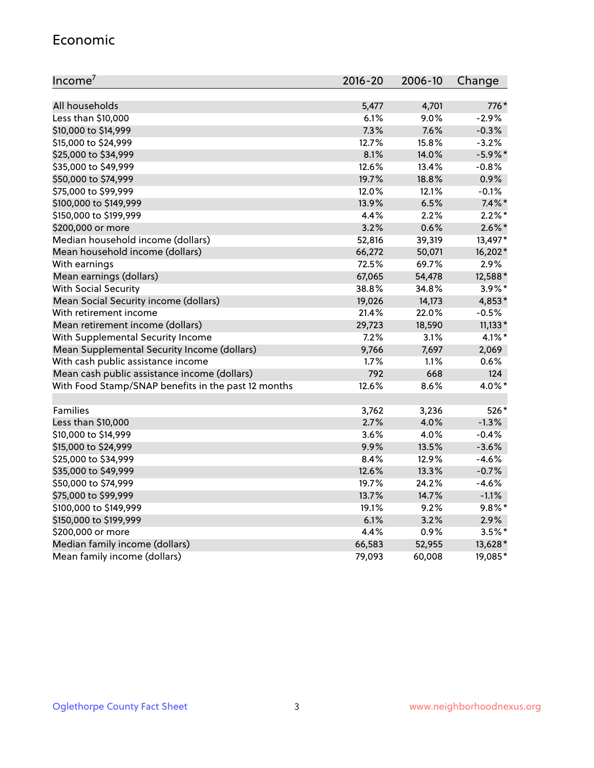#### Economic

| Income <sup>7</sup>                                 | 2016-20 | 2006-10       | Change     |
|-----------------------------------------------------|---------|---------------|------------|
| All households                                      | 5,477   |               | 776*       |
| Less than \$10,000                                  | 6.1%    | 4,701<br>9.0% | $-2.9%$    |
| \$10,000 to \$14,999                                | 7.3%    | 7.6%          | $-0.3%$    |
| \$15,000 to \$24,999                                | 12.7%   | 15.8%         | $-3.2%$    |
| \$25,000 to \$34,999                                | 8.1%    | 14.0%         | $-5.9\%$ * |
| \$35,000 to \$49,999                                | 12.6%   | 13.4%         | $-0.8%$    |
| \$50,000 to \$74,999                                | 19.7%   | 18.8%         | 0.9%       |
| \$75,000 to \$99,999                                | 12.0%   | 12.1%         | $-0.1\%$   |
| \$100,000 to \$149,999                              | 13.9%   | 6.5%          | $7.4\%$ *  |
| \$150,000 to \$199,999                              | 4.4%    | 2.2%          | $2.2\%$ *  |
| \$200,000 or more                                   | 3.2%    | 0.6%          | $2.6\%$ *  |
| Median household income (dollars)                   | 52,816  | 39,319        | 13,497*    |
| Mean household income (dollars)                     | 66,272  | 50,071        | 16,202*    |
| With earnings                                       | 72.5%   | 69.7%         | 2.9%       |
| Mean earnings (dollars)                             | 67,065  | 54,478        | 12,588*    |
| <b>With Social Security</b>                         | 38.8%   | 34.8%         | 3.9%*      |
| Mean Social Security income (dollars)               | 19,026  | 14,173        | 4,853*     |
| With retirement income                              | 21.4%   | 22.0%         | $-0.5%$    |
| Mean retirement income (dollars)                    | 29,723  | 18,590        | $11,133*$  |
| With Supplemental Security Income                   | 7.2%    | 3.1%          | 4.1%*      |
| Mean Supplemental Security Income (dollars)         | 9,766   | 7,697         | 2,069      |
| With cash public assistance income                  | 1.7%    | 1.1%          | 0.6%       |
| Mean cash public assistance income (dollars)        | 792     | 668           | 124        |
| With Food Stamp/SNAP benefits in the past 12 months | 12.6%   | 8.6%          | 4.0%*      |
|                                                     |         |               |            |
| Families                                            | 3,762   | 3,236         | 526*       |
| Less than \$10,000                                  | 2.7%    | 4.0%          | $-1.3%$    |
| \$10,000 to \$14,999                                | 3.6%    | 4.0%          | $-0.4%$    |
| \$15,000 to \$24,999                                | 9.9%    | 13.5%         | $-3.6%$    |
| \$25,000 to \$34,999                                | 8.4%    | 12.9%         | $-4.6%$    |
| \$35,000 to \$49,999                                | 12.6%   | 13.3%         | $-0.7%$    |
| \$50,000 to \$74,999                                | 19.7%   | 24.2%         | $-4.6%$    |
| \$75,000 to \$99,999                                | 13.7%   | 14.7%         | $-1.1%$    |
| \$100,000 to \$149,999                              | 19.1%   | 9.2%          | $9.8\%$ *  |
| \$150,000 to \$199,999                              | 6.1%    | 3.2%          | 2.9%       |
| \$200,000 or more                                   | 4.4%    | 0.9%          | $3.5%$ *   |
| Median family income (dollars)                      | 66,583  | 52,955        | 13,628*    |
| Mean family income (dollars)                        | 79,093  | 60,008        | 19,085*    |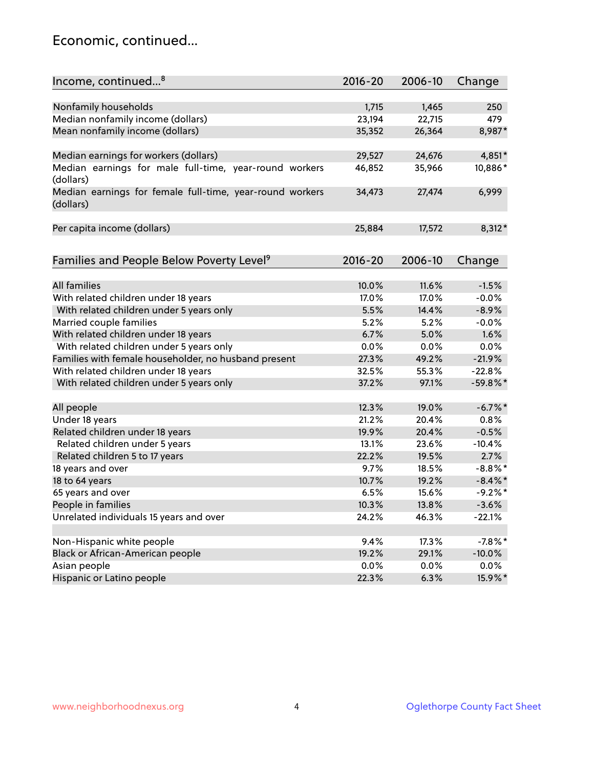### Economic, continued...

| Income, continued <sup>8</sup>                           | $2016 - 20$ | 2006-10 | Change     |
|----------------------------------------------------------|-------------|---------|------------|
|                                                          |             |         |            |
| Nonfamily households                                     | 1,715       | 1,465   | 250        |
| Median nonfamily income (dollars)                        | 23,194      | 22,715  | 479        |
| Mean nonfamily income (dollars)                          | 35,352      | 26,364  | 8,987*     |
|                                                          |             |         |            |
| Median earnings for workers (dollars)                    | 29,527      | 24,676  | 4,851*     |
| Median earnings for male full-time, year-round workers   | 46,852      | 35,966  | 10,886*    |
| (dollars)                                                |             |         |            |
| Median earnings for female full-time, year-round workers | 34,473      | 27,474  | 6,999      |
| (dollars)                                                |             |         |            |
|                                                          |             |         |            |
| Per capita income (dollars)                              | 25,884      | 17,572  | 8,312*     |
|                                                          | $2016 - 20$ | 2006-10 |            |
| Families and People Below Poverty Level <sup>9</sup>     |             |         | Change     |
| All families                                             | 10.0%       | 11.6%   | $-1.5%$    |
|                                                          | 17.0%       | 17.0%   | $-0.0%$    |
| With related children under 18 years                     | 5.5%        |         | $-8.9%$    |
| With related children under 5 years only                 | 5.2%        | 14.4%   |            |
| Married couple families                                  |             | 5.2%    | $-0.0%$    |
| With related children under 18 years                     | 6.7%        | 5.0%    | 1.6%       |
| With related children under 5 years only                 | 0.0%        | 0.0%    | 0.0%       |
| Families with female householder, no husband present     | 27.3%       | 49.2%   | $-21.9%$   |
| With related children under 18 years                     | 32.5%       | 55.3%   | $-22.8%$   |
| With related children under 5 years only                 | 37.2%       | 97.1%   | $-59.8%$ * |
| All people                                               | 12.3%       | 19.0%   | $-6.7\%$ * |
| Under 18 years                                           | 21.2%       | 20.4%   | 0.8%       |
| Related children under 18 years                          | 19.9%       | 20.4%   | $-0.5%$    |
| Related children under 5 years                           | 13.1%       | 23.6%   | $-10.4%$   |
| Related children 5 to 17 years                           | 22.2%       | 19.5%   | 2.7%       |
| 18 years and over                                        | 9.7%        | 18.5%   | $-8.8\%$ * |
| 18 to 64 years                                           | 10.7%       | 19.2%   | $-8.4\%$ * |
| 65 years and over                                        | 6.5%        | 15.6%   | $-9.2%$ *  |
| People in families                                       | 10.3%       | 13.8%   | $-3.6%$    |
| Unrelated individuals 15 years and over                  | 24.2%       | 46.3%   | $-22.1%$   |
|                                                          |             |         |            |
| Non-Hispanic white people                                | 9.4%        | 17.3%   | $-7.8%$ *  |
| Black or African-American people                         | 19.2%       | 29.1%   | $-10.0%$   |
| Asian people                                             | 0.0%        | 0.0%    | 0.0%       |
| Hispanic or Latino people                                | 22.3%       | 6.3%    | 15.9%*     |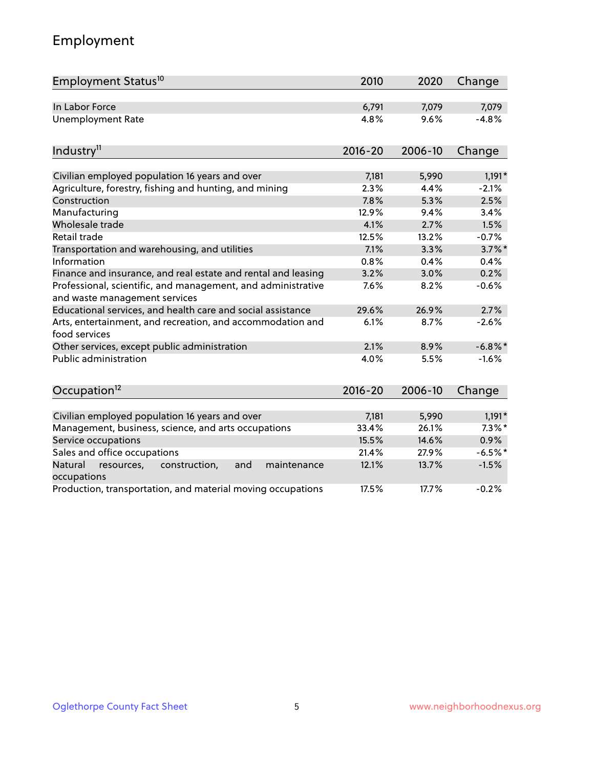# Employment

| Employment Status <sup>10</sup>                                                               | 2010        | 2020    | Change     |
|-----------------------------------------------------------------------------------------------|-------------|---------|------------|
| In Labor Force                                                                                | 6,791       | 7,079   | 7,079      |
| <b>Unemployment Rate</b>                                                                      | 4.8%        | 9.6%    | $-4.8%$    |
| Industry <sup>11</sup>                                                                        | $2016 - 20$ | 2006-10 | Change     |
| Civilian employed population 16 years and over                                                | 7,181       | 5,990   | $1,191*$   |
| Agriculture, forestry, fishing and hunting, and mining                                        | 2.3%        | 4.4%    | $-2.1%$    |
| Construction                                                                                  | 7.8%        | 5.3%    | 2.5%       |
| Manufacturing                                                                                 | 12.9%       | 9.4%    | 3.4%       |
| Wholesale trade                                                                               | 4.1%        | 2.7%    | 1.5%       |
| Retail trade                                                                                  | 12.5%       | 13.2%   | $-0.7%$    |
| Transportation and warehousing, and utilities                                                 | 7.1%        | 3.3%    | $3.7\%$ *  |
| Information                                                                                   | 0.8%        | 0.4%    | 0.4%       |
| Finance and insurance, and real estate and rental and leasing                                 | 3.2%        | 3.0%    | 0.2%       |
| Professional, scientific, and management, and administrative<br>and waste management services | 7.6%        | 8.2%    | $-0.6%$    |
| Educational services, and health care and social assistance                                   | 29.6%       | 26.9%   | 2.7%       |
| Arts, entertainment, and recreation, and accommodation and<br>food services                   | 6.1%        | 8.7%    | $-2.6%$    |
| Other services, except public administration                                                  | 2.1%        | 8.9%    | $-6.8\%$ * |
| Public administration                                                                         | 4.0%        | 5.5%    | $-1.6%$    |
| Occupation <sup>12</sup>                                                                      | $2016 - 20$ | 2006-10 | Change     |
|                                                                                               |             |         |            |
| Civilian employed population 16 years and over                                                | 7,181       | 5,990   | $1,191*$   |
| Management, business, science, and arts occupations                                           | 33.4%       | 26.1%   | $7.3\%$ *  |
| Service occupations                                                                           | 15.5%       | 14.6%   | 0.9%       |
| Sales and office occupations                                                                  | 21.4%       | 27.9%   | $-6.5%$ *  |
| Natural<br>and<br>maintenance<br>resources,<br>construction,<br>occupations                   | 12.1%       | 13.7%   | $-1.5%$    |
| Production, transportation, and material moving occupations                                   | 17.5%       | 17.7%   | $-0.2%$    |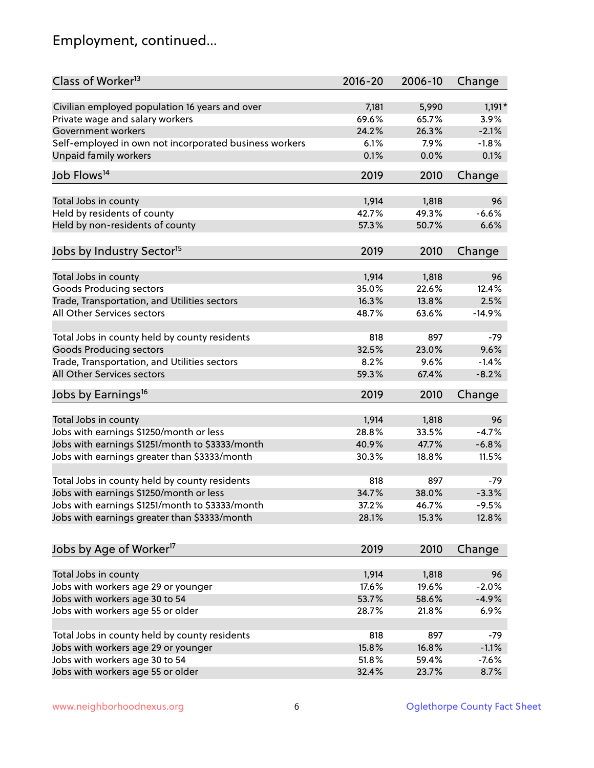# Employment, continued...

| Class of Worker <sup>13</sup>                          | $2016 - 20$ | 2006-10 | Change   |
|--------------------------------------------------------|-------------|---------|----------|
| Civilian employed population 16 years and over         | 7,181       | 5,990   | $1,191*$ |
| Private wage and salary workers                        | 69.6%       | 65.7%   | 3.9%     |
| Government workers                                     | 24.2%       | 26.3%   | $-2.1%$  |
| Self-employed in own not incorporated business workers | 6.1%        | 7.9%    | $-1.8%$  |
| <b>Unpaid family workers</b>                           | 0.1%        | 0.0%    | 0.1%     |
| Job Flows <sup>14</sup>                                | 2019        | 2010    | Change   |
|                                                        |             |         |          |
| Total Jobs in county                                   | 1,914       | 1,818   | 96       |
| Held by residents of county                            | 42.7%       | 49.3%   | $-6.6%$  |
| Held by non-residents of county                        | 57.3%       | 50.7%   | 6.6%     |
| Jobs by Industry Sector <sup>15</sup>                  | 2019        | 2010    | Change   |
|                                                        |             |         |          |
| Total Jobs in county                                   | 1,914       | 1,818   | 96       |
| <b>Goods Producing sectors</b>                         | 35.0%       | 22.6%   | 12.4%    |
| Trade, Transportation, and Utilities sectors           | 16.3%       | 13.8%   | 2.5%     |
| All Other Services sectors                             | 48.7%       | 63.6%   | $-14.9%$ |
| Total Jobs in county held by county residents          | 818         | 897     | $-79$    |
| <b>Goods Producing sectors</b>                         | 32.5%       | 23.0%   | 9.6%     |
| Trade, Transportation, and Utilities sectors           | 8.2%        | 9.6%    | $-1.4%$  |
| All Other Services sectors                             | 59.3%       | 67.4%   | $-8.2%$  |
| Jobs by Earnings <sup>16</sup>                         | 2019        | 2010    | Change   |
|                                                        |             |         |          |
| Total Jobs in county                                   | 1,914       | 1,818   | 96       |
| Jobs with earnings \$1250/month or less                | 28.8%       | 33.5%   | $-4.7%$  |
| Jobs with earnings \$1251/month to \$3333/month        | 40.9%       | 47.7%   | $-6.8%$  |
| Jobs with earnings greater than \$3333/month           | 30.3%       | 18.8%   | 11.5%    |
| Total Jobs in county held by county residents          | 818         | 897     | $-79$    |
| Jobs with earnings \$1250/month or less                | 34.7%       | 38.0%   | $-3.3%$  |
| Jobs with earnings \$1251/month to \$3333/month        | 37.2%       | 46.7%   | $-9.5%$  |
| Jobs with earnings greater than \$3333/month           | 28.1%       | 15.3%   | 12.8%    |
|                                                        |             |         |          |
| Jobs by Age of Worker <sup>17</sup>                    | 2019        | 2010    | Change   |
| Total Jobs in county                                   | 1,914       | 1,818   | 96       |
| Jobs with workers age 29 or younger                    | 17.6%       | 19.6%   | $-2.0%$  |
|                                                        | 53.7%       | 58.6%   | $-4.9%$  |
| Jobs with workers age 30 to 54                         |             |         |          |
| Jobs with workers age 55 or older                      | 28.7%       | 21.8%   | 6.9%     |
| Total Jobs in county held by county residents          | 818         | 897     | $-79$    |
| Jobs with workers age 29 or younger                    | 15.8%       | 16.8%   | $-1.1%$  |
| Jobs with workers age 30 to 54                         | 51.8%       | 59.4%   | $-7.6%$  |
| Jobs with workers age 55 or older                      | 32.4%       | 23.7%   | 8.7%     |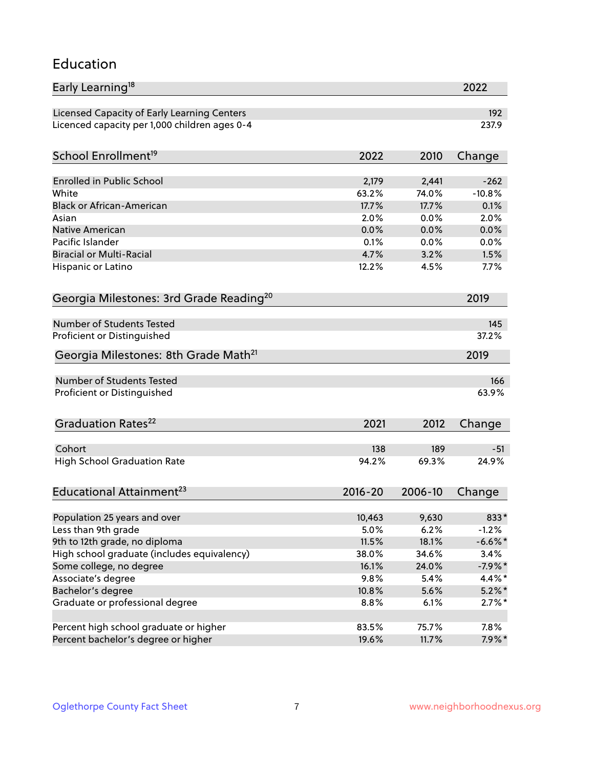#### Education

| Early Learning <sup>18</sup>                        |                |         | 2022                 |
|-----------------------------------------------------|----------------|---------|----------------------|
| Licensed Capacity of Early Learning Centers         |                |         | 192                  |
| Licenced capacity per 1,000 children ages 0-4       |                |         | 237.9                |
| School Enrollment <sup>19</sup>                     | 2022           | 2010    | Change               |
|                                                     |                |         |                      |
| Enrolled in Public School                           | 2,179          | 2,441   | $-262$               |
| White                                               | 63.2%          | 74.0%   | $-10.8%$             |
| <b>Black or African-American</b>                    | 17.7%          | 17.7%   | 0.1%                 |
| Asian                                               | 2.0%           | 0.0%    | 2.0%                 |
| Native American                                     | 0.0%           | 0.0%    | 0.0%                 |
| Pacific Islander                                    | 0.1%           | 0.0%    | 0.0%                 |
| <b>Biracial or Multi-Racial</b>                     | 4.7%           | 3.2%    | 1.5%                 |
| Hispanic or Latino                                  | 12.2%          | 4.5%    | 7.7%                 |
| Georgia Milestones: 3rd Grade Reading <sup>20</sup> |                |         | 2019                 |
|                                                     |                |         |                      |
| <b>Number of Students Tested</b>                    |                |         | 145                  |
| Proficient or Distinguished                         |                |         | 37.2%                |
| Georgia Milestones: 8th Grade Math <sup>21</sup>    |                |         | 2019                 |
| Number of Students Tested                           |                |         | 166                  |
| Proficient or Distinguished                         |                |         | 63.9%                |
|                                                     |                |         |                      |
| Graduation Rates <sup>22</sup>                      | 2021           | 2012    | Change               |
| Cohort                                              | 138            | 189     | $-51$                |
| <b>High School Graduation Rate</b>                  | 94.2%          | 69.3%   | 24.9%                |
|                                                     |                |         |                      |
| Educational Attainment <sup>23</sup>                | $2016 - 20$    | 2006-10 | Change               |
|                                                     |                |         |                      |
| Population 25 years and over                        | 10,463         | 9,630   | 833*                 |
| Less than 9th grade                                 | 5.0%           | 6.2%    | $-1.2%$<br>$-6.6%$ * |
| 9th to 12th grade, no diploma                       | 11.5%          | 18.1%   |                      |
| High school graduate (includes equivalency)         | 38.0%<br>16.1% | 34.6%   | 3.4%                 |
| Some college, no degree                             |                | 24.0%   | $-7.9%$ *            |
| Associate's degree                                  | 9.8%           | 5.4%    | 4.4%*                |
| Bachelor's degree                                   | 10.8%          | 5.6%    | $5.2\%$ *            |
| Graduate or professional degree                     | 8.8%           | 6.1%    | $2.7\%$ *            |
| Percent high school graduate or higher              | 83.5%          | 75.7%   | 7.8%                 |
| Percent bachelor's degree or higher                 | 19.6%          | 11.7%   | $7.9\%$ *            |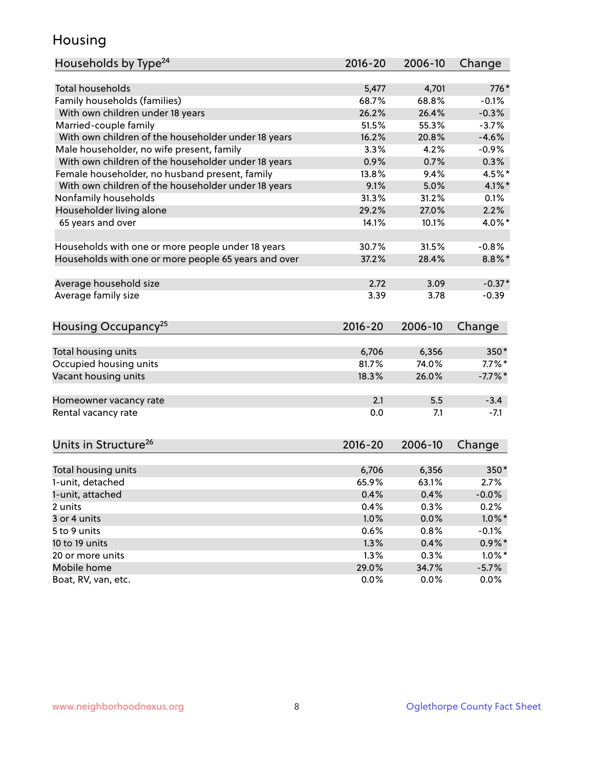### Housing

| Households by Type <sup>24</sup>                     | 2016-20       | 2006-10       | Change                |
|------------------------------------------------------|---------------|---------------|-----------------------|
|                                                      |               |               |                       |
| <b>Total households</b>                              | 5,477         | 4,701         | 776*                  |
| Family households (families)                         | 68.7%         | 68.8%         | $-0.1%$               |
| With own children under 18 years                     | 26.2%         | 26.4%         | $-0.3%$               |
| Married-couple family                                | 51.5%         | 55.3%         | $-3.7%$               |
| With own children of the householder under 18 years  | 16.2%         | 20.8%         | $-4.6%$               |
| Male householder, no wife present, family            | 3.3%          | 4.2%          | $-0.9%$               |
| With own children of the householder under 18 years  | 0.9%          | 0.7%          | 0.3%                  |
| Female householder, no husband present, family       | 13.8%         | 9.4%          | 4.5%*                 |
| With own children of the householder under 18 years  | 9.1%          | 5.0%          | $4.1\%$ *             |
| Nonfamily households                                 | 31.3%         | 31.2%         | 0.1%                  |
| Householder living alone                             | 29.2%         | 27.0%         | 2.2%                  |
| 65 years and over                                    | 14.1%         | 10.1%         | 4.0%*                 |
| Households with one or more people under 18 years    | 30.7%         | 31.5%         | $-0.8%$               |
| Households with one or more people 65 years and over | 37.2%         | 28.4%         | $8.8\%$ *             |
| Average household size                               | 2.72          | 3.09          | $-0.37*$              |
| Average family size                                  | 3.39          | 3.78          | $-0.39$               |
|                                                      |               |               |                       |
| Housing Occupancy <sup>25</sup>                      | 2016-20       | 2006-10       | Change                |
|                                                      | 6,706         | 6,356         | 350*                  |
| Total housing units<br>Occupied housing units        | 81.7%         | 74.0%         | $7.7\%$ *             |
| Vacant housing units                                 | 18.3%         | 26.0%         | $-7.7\%$ *            |
|                                                      |               |               |                       |
| Homeowner vacancy rate                               | 2.1           | 5.5           | $-3.4$                |
| Rental vacancy rate                                  | 0.0           | 7.1           | $-7.1$                |
| Units in Structure <sup>26</sup>                     | $2016 - 20$   | 2006-10       | Change                |
| Total housing units                                  | 6,706         | 6,356         | $350*$                |
| 1-unit, detached                                     | 65.9%         | 63.1%         | 2.7%                  |
| 1-unit, attached                                     | 0.4%          | 0.4%          | $-0.0%$               |
| 2 units                                              | 0.4%          | 0.3%          | 0.2%                  |
| 3 or 4 units                                         | 1.0%          | 0.0%          | $1.0\%$ *             |
| 5 to 9 units                                         | 0.6%          | 0.8%          | $-0.1%$               |
| 10 to 19 units                                       | 1.3%          | 0.4%          | $0.9\%*$              |
|                                                      |               |               |                       |
|                                                      |               |               |                       |
| 20 or more units<br>Mobile home                      | 1.3%<br>29.0% | 0.3%<br>34.7% | $1.0\%$ *<br>$-5.7\%$ |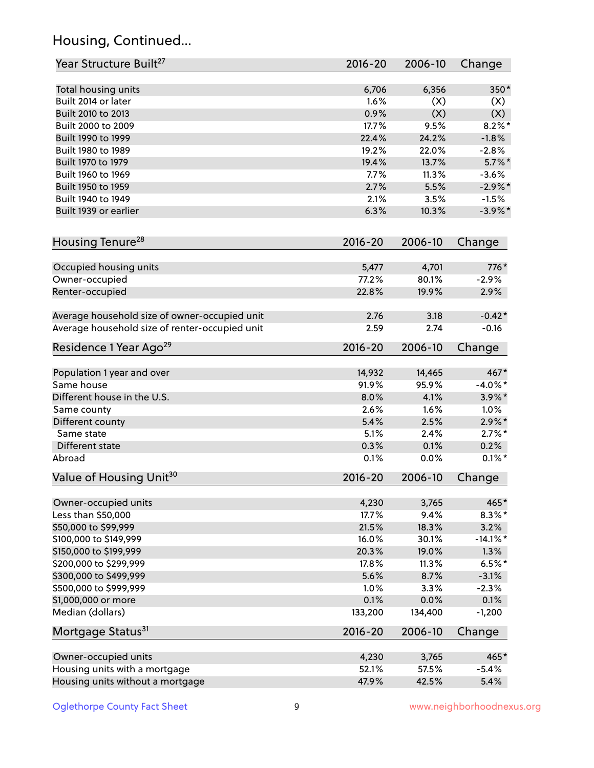# Housing, Continued...

| Year Structure Built <sup>27</sup>             | 2016-20     | 2006-10 | Change      |
|------------------------------------------------|-------------|---------|-------------|
| Total housing units                            | 6,706       | 6,356   | 350*        |
| Built 2014 or later                            | 1.6%        | (X)     | (X)         |
| Built 2010 to 2013                             | 0.9%        | (X)     | (X)         |
| Built 2000 to 2009                             | 17.7%       | 9.5%    | $8.2\%$ *   |
| Built 1990 to 1999                             | 22.4%       | 24.2%   | $-1.8%$     |
| Built 1980 to 1989                             | 19.2%       | 22.0%   | $-2.8%$     |
| Built 1970 to 1979                             | 19.4%       | 13.7%   | $5.7\%$ *   |
| Built 1960 to 1969                             | 7.7%        | 11.3%   | $-3.6%$     |
| Built 1950 to 1959                             | 2.7%        | 5.5%    | $-2.9%$ *   |
| Built 1940 to 1949                             | 2.1%        | 3.5%    | $-1.5%$     |
| Built 1939 or earlier                          | 6.3%        | 10.3%   | $-3.9\%$ *  |
| Housing Tenure <sup>28</sup>                   | $2016 - 20$ | 2006-10 | Change      |
| Occupied housing units                         | 5,477       | 4,701   | 776*        |
| Owner-occupied                                 | 77.2%       | 80.1%   | $-2.9%$     |
| Renter-occupied                                | 22.8%       | 19.9%   | 2.9%        |
| Average household size of owner-occupied unit  | 2.76        | 3.18    | $-0.42*$    |
| Average household size of renter-occupied unit | 2.59        | 2.74    | $-0.16$     |
| Residence 1 Year Ago <sup>29</sup>             | 2016-20     | 2006-10 | Change      |
| Population 1 year and over                     | 14,932      | 14,465  | 467*        |
| Same house                                     | 91.9%       | 95.9%   | $-4.0\%$ *  |
| Different house in the U.S.                    | 8.0%        | 4.1%    | $3.9\%$ *   |
| Same county                                    | 2.6%        | 1.6%    | 1.0%        |
| Different county                               | 5.4%        | 2.5%    | $2.9\%*$    |
| Same state                                     | 5.1%        | 2.4%    | $2.7\%$ *   |
| Different state                                | 0.3%        | 0.1%    | 0.2%        |
| Abroad                                         | 0.1%        | 0.0%    | $0.1\%$ *   |
| Value of Housing Unit <sup>30</sup>            | $2016 - 20$ | 2006-10 | Change      |
| Owner-occupied units                           | 4,230       | 3,765   | 465*        |
| Less than \$50,000                             | 17.7%       | 9.4%    | $8.3\%$ *   |
| \$50,000 to \$99,999                           | 21.5%       | 18.3%   | 3.2%        |
| \$100,000 to \$149,999                         | 16.0%       | 30.1%   | $-14.1\%$ * |
| \$150,000 to \$199,999                         | 20.3%       | 19.0%   | 1.3%        |
| \$200,000 to \$299,999                         | 17.8%       | 11.3%   | $6.5%$ *    |
| \$300,000 to \$499,999                         | 5.6%        | 8.7%    | $-3.1%$     |
| \$500,000 to \$999,999                         | 1.0%        | 3.3%    | $-2.3%$     |
| \$1,000,000 or more                            | 0.1%        | 0.0%    | 0.1%        |
| Median (dollars)                               | 133,200     | 134,400 | $-1,200$    |
| Mortgage Status <sup>31</sup>                  | $2016 - 20$ | 2006-10 | Change      |
| Owner-occupied units                           | 4,230       | 3,765   | 465*        |
| Housing units with a mortgage                  | 52.1%       | 57.5%   | $-5.4%$     |
| Housing units without a mortgage               | 47.9%       | 42.5%   | 5.4%        |
|                                                |             |         |             |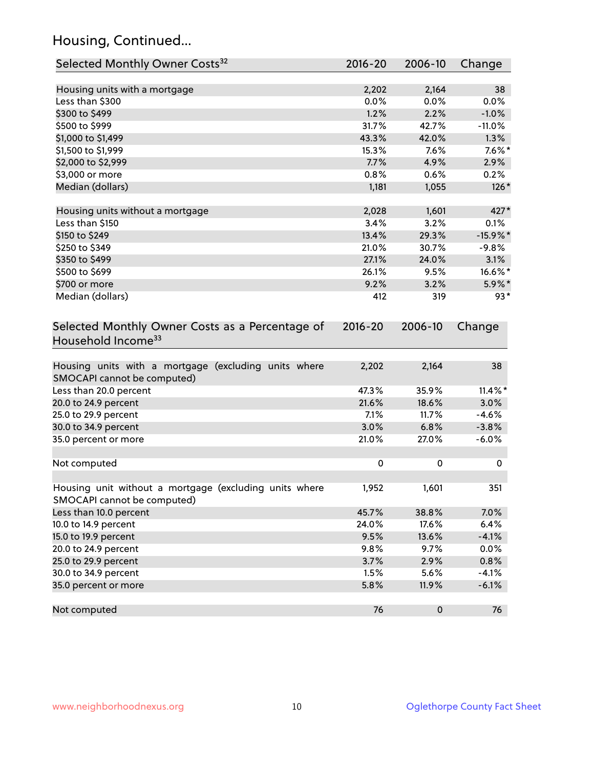# Housing, Continued...

| Selected Monthly Owner Costs <sup>32</sup>                                            | 2016-20   | 2006-10 | Change      |
|---------------------------------------------------------------------------------------|-----------|---------|-------------|
| Housing units with a mortgage                                                         | 2,202     | 2,164   | 38          |
| Less than \$300                                                                       | 0.0%      | 0.0%    | 0.0%        |
| \$300 to \$499                                                                        | 1.2%      | 2.2%    | $-1.0%$     |
| \$500 to \$999                                                                        | 31.7%     | 42.7%   | $-11.0%$    |
| \$1,000 to \$1,499                                                                    | 43.3%     | 42.0%   | 1.3%        |
| \$1,500 to \$1,999                                                                    | 15.3%     | 7.6%    | $7.6\%$ *   |
| \$2,000 to \$2,999                                                                    | 7.7%      | 4.9%    | 2.9%        |
| \$3,000 or more                                                                       | 0.8%      | 0.6%    | 0.2%        |
| Median (dollars)                                                                      | 1,181     | 1,055   | $126*$      |
| Housing units without a mortgage                                                      | 2,028     | 1,601   | 427*        |
| Less than \$150                                                                       | 3.4%      | 3.2%    | 0.1%        |
| \$150 to \$249                                                                        | 13.4%     | 29.3%   | $-15.9\%$ * |
| \$250 to \$349                                                                        | 21.0%     | 30.7%   | $-9.8%$     |
| \$350 to \$499                                                                        | 27.1%     | 24.0%   | 3.1%        |
| \$500 to \$699                                                                        | 26.1%     | 9.5%    | 16.6%*      |
| \$700 or more                                                                         | 9.2%      | 3.2%    | 5.9%*       |
| Median (dollars)                                                                      | 412       | 319     | $93*$       |
| Household Income <sup>33</sup>                                                        |           |         |             |
| Housing units with a mortgage (excluding units where<br>SMOCAPI cannot be computed)   | 2,202     | 2,164   | 38          |
| Less than 20.0 percent                                                                | 47.3%     | 35.9%   | $11.4\%$ *  |
| 20.0 to 24.9 percent                                                                  | 21.6%     | 18.6%   | 3.0%        |
| 25.0 to 29.9 percent                                                                  | 7.1%      | 11.7%   | $-4.6%$     |
| 30.0 to 34.9 percent                                                                  | 3.0%      | 6.8%    | $-3.8%$     |
| 35.0 percent or more                                                                  | 21.0%     | 27.0%   | $-6.0%$     |
| Not computed                                                                          | $\pmb{0}$ | 0       | 0           |
| Housing unit without a mortgage (excluding units where<br>SMOCAPI cannot be computed) | 1,952     | 1,601   | 351         |
| Less than 10.0 percent                                                                | 45.7%     | 38.8%   | 7.0%        |
| 10.0 to 14.9 percent                                                                  | 24.0%     | 17.6%   | 6.4%        |
| 15.0 to 19.9 percent                                                                  | 9.5%      | 13.6%   | $-4.1%$     |
| 20.0 to 24.9 percent                                                                  | 9.8%      | 9.7%    | 0.0%        |
| 25.0 to 29.9 percent                                                                  | 3.7%      | 2.9%    | 0.8%        |
| 30.0 to 34.9 percent                                                                  | 1.5%      | 5.6%    | $-4.1%$     |
| 35.0 percent or more                                                                  | 5.8%      | 11.9%   | $-6.1%$     |
| Not computed                                                                          | 76        | 0       | 76          |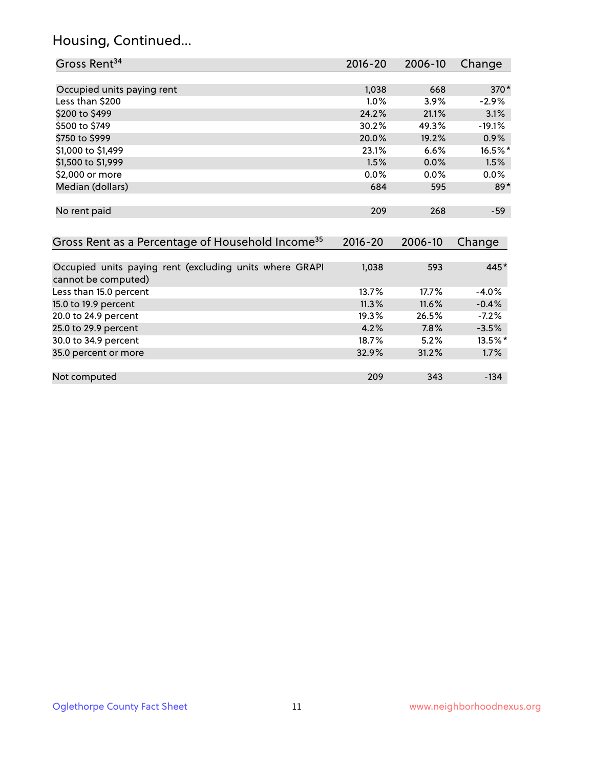# Housing, Continued...

| Gross Rent <sup>34</sup>                                     | 2016-20     | 2006-10 | Change   |
|--------------------------------------------------------------|-------------|---------|----------|
|                                                              |             |         |          |
| Occupied units paying rent                                   | 1,038       | 668     | 370*     |
| Less than \$200                                              | 1.0%        | 3.9%    | $-2.9%$  |
| \$200 to \$499                                               | 24.2%       | 21.1%   | 3.1%     |
| \$500 to \$749                                               | 30.2%       | 49.3%   | $-19.1%$ |
| \$750 to \$999                                               | 20.0%       | 19.2%   | 0.9%     |
| \$1,000 to \$1,499                                           | 23.1%       | 6.6%    | 16.5%*   |
| \$1,500 to \$1,999                                           | 1.5%        | 0.0%    | 1.5%     |
| \$2,000 or more                                              | 0.0%        | 0.0%    | $0.0\%$  |
| Median (dollars)                                             | 684         | 595     | $89*$    |
| No rent paid                                                 | 209         | 268     | $-59$    |
| Gross Rent as a Percentage of Household Income <sup>35</sup> | $2016 - 20$ | 2006-10 | Change   |
| Occupied units paying rent (excluding units where GRAPI      | 1,038       | 593     | 445*     |
| cannot be computed)                                          |             |         |          |
| Less than 15.0 percent                                       | 13.7%       | 17.7%   | $-4.0%$  |
| 15.0 to 19.9 percent                                         | 11.3%       | 11.6%   | $-0.4%$  |
| 20.0 to 24.9 percent                                         | 19.3%       | 26.5%   | $-7.2%$  |
| 25.0 to 29.9 percent                                         | 4.2%        | 7.8%    | $-3.5%$  |
| 30.0 to 34.9 percent                                         | 18.7%       | 5.2%    | 13.5%*   |
| 35.0 percent or more                                         | 32.9%       | 31.2%   | 1.7%     |
| Not computed                                                 | 209         | 343     | $-134$   |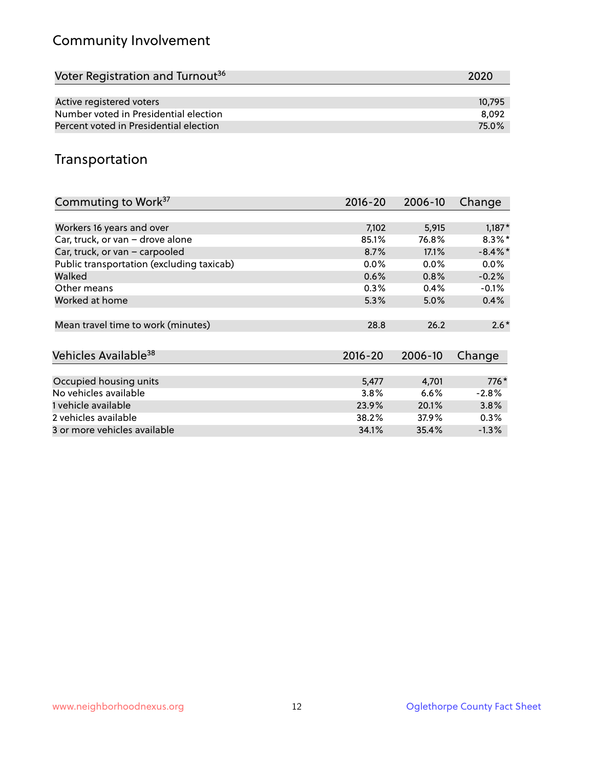# Community Involvement

| Voter Registration and Turnout <sup>36</sup> | 2020   |
|----------------------------------------------|--------|
|                                              |        |
| Active registered voters                     | 10,795 |
| Number voted in Presidential election        | 8.092  |
| Percent voted in Presidential election       | 75.0%  |

## Transportation

| Commuting to Work <sup>37</sup>           | 2016-20     | 2006-10 | Change     |
|-------------------------------------------|-------------|---------|------------|
|                                           |             |         |            |
| Workers 16 years and over                 | 7,102       | 5,915   | $1,187*$   |
| Car, truck, or van - drove alone          | 85.1%       | 76.8%   | $8.3\%$ *  |
| Car, truck, or van - carpooled            | 8.7%        | 17.1%   | $-8.4\%$ * |
| Public transportation (excluding taxicab) | $0.0\%$     | $0.0\%$ | $0.0\%$    |
| Walked                                    | 0.6%        | 0.8%    | $-0.2%$    |
| Other means                               | 0.3%        | 0.4%    | $-0.1%$    |
| Worked at home                            | 5.3%        | 5.0%    | 0.4%       |
|                                           |             |         |            |
| Mean travel time to work (minutes)        | 28.8        | 26.2    | $2.6*$     |
|                                           |             |         |            |
| Vehicles Available <sup>38</sup>          | $2016 - 20$ | 2006-10 | Change     |
|                                           |             |         |            |
| Occupied housing units                    | 5,477       | 4,701   | 776*       |
| No vehicles available                     | 3.8%        | 6.6%    | $-2.8%$    |
| 1 vehicle available                       | 23.9%       | 20.1%   | 3.8%       |
| 2 vehicles available                      | 38.2%       | 37.9%   | 0.3%       |
| 3 or more vehicles available              | 34.1%       | 35.4%   | $-1.3\%$   |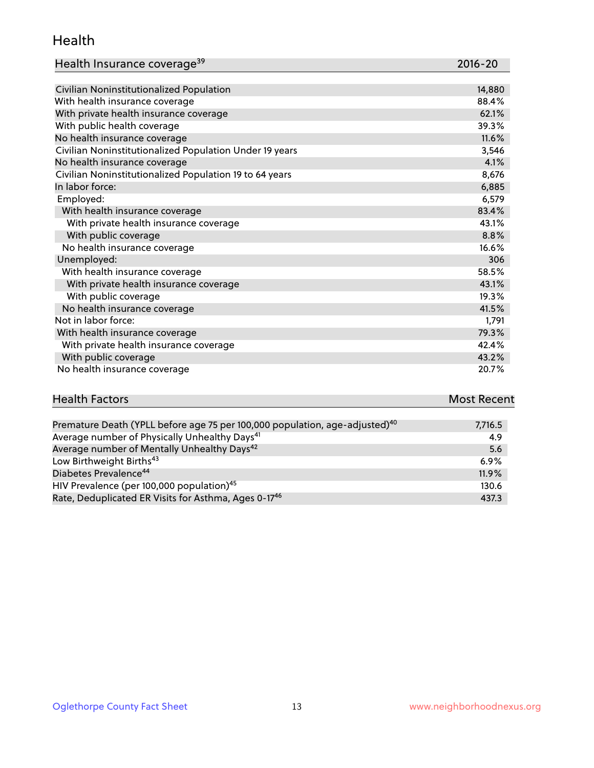#### Health

| Health Insurance coverage <sup>39</sup> | 2016-20 |
|-----------------------------------------|---------|
|-----------------------------------------|---------|

| Civilian Noninstitutionalized Population                | 14,880 |
|---------------------------------------------------------|--------|
| With health insurance coverage                          | 88.4%  |
| With private health insurance coverage                  | 62.1%  |
| With public health coverage                             | 39.3%  |
| No health insurance coverage                            | 11.6%  |
| Civilian Noninstitutionalized Population Under 19 years | 3,546  |
| No health insurance coverage                            | 4.1%   |
| Civilian Noninstitutionalized Population 19 to 64 years | 8,676  |
| In labor force:                                         | 6,885  |
| Employed:                                               | 6,579  |
| With health insurance coverage                          | 83.4%  |
| With private health insurance coverage                  | 43.1%  |
| With public coverage                                    | 8.8%   |
| No health insurance coverage                            | 16.6%  |
| Unemployed:                                             | 306    |
| With health insurance coverage                          | 58.5%  |
| With private health insurance coverage                  | 43.1%  |
| With public coverage                                    | 19.3%  |
| No health insurance coverage                            | 41.5%  |
| Not in labor force:                                     | 1,791  |
| With health insurance coverage                          | 79.3%  |
| With private health insurance coverage                  | 42.4%  |
| With public coverage                                    | 43.2%  |
| No health insurance coverage                            | 20.7%  |

| <b>Health Factors</b> | <b>Most Recent</b> |
|-----------------------|--------------------|
|                       |                    |

| Premature Death (YPLL before age 75 per 100,000 population, age-adjusted) <sup>40</sup> | 7,716.5 |
|-----------------------------------------------------------------------------------------|---------|
| Average number of Physically Unhealthy Days <sup>41</sup>                               | 4.9     |
| Average number of Mentally Unhealthy Days <sup>42</sup>                                 | 5.6     |
| Low Birthweight Births <sup>43</sup>                                                    | $6.9\%$ |
| Diabetes Prevalence <sup>44</sup>                                                       | 11.9%   |
| HIV Prevalence (per 100,000 population) <sup>45</sup>                                   | 130.6   |
| Rate, Deduplicated ER Visits for Asthma, Ages 0-17 <sup>46</sup>                        | 437.3   |